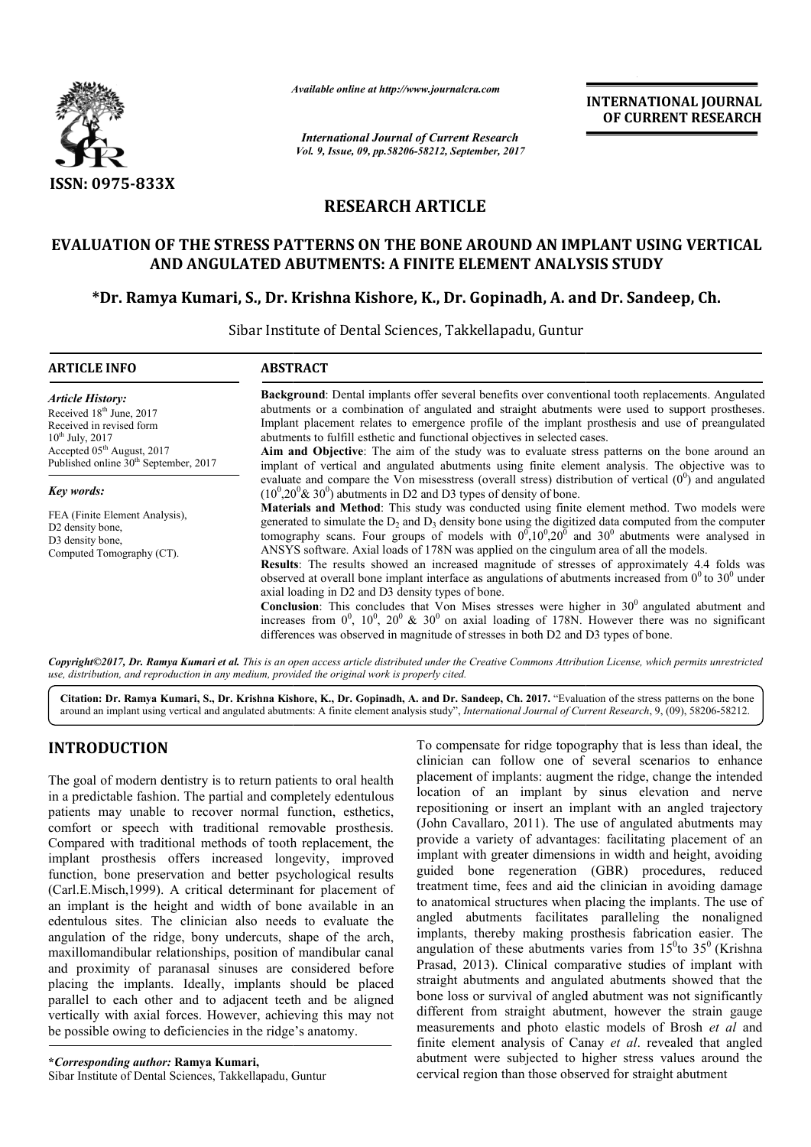

*Available online at http://www.journalcra.com*

*International Journal of Current Research Vol. 9, Issue, 09, pp.58206-58212, September, 2017* **INTERNATIONAL JOURNAL OF CURRENT RESEARCH**

# **RESEARCH ARTICLE**

## **EVALUATION OF THE STRESS PATTERNS ON THE BONE AROUND AN IMPLANT USING VERTICAL AND ANGULATED ABUTMENTS: A FINITE ELEMENT ANALYSIS STUDY ELEMENT ANALYSIS**

**\*Dr. Ramya Kumari, S., Dr. Krishna Kishore, K., Dr. Gopinadh, A. and Dr. Sandeep, Ch.**

Sibar Institute of Dental Sciences, Takkellapadu, Guntur

| <b>ARTICLE INFO</b>                                                                                                                                                                                                | <b>ABSTRACT</b>                                                                                                                                                                                                                                                                                                                                                                                                                                                                                                                                                                                                                                                                                                                                                                                                                                                                                                                                                                                                                                                                                                                                                                                                    |  |
|--------------------------------------------------------------------------------------------------------------------------------------------------------------------------------------------------------------------|--------------------------------------------------------------------------------------------------------------------------------------------------------------------------------------------------------------------------------------------------------------------------------------------------------------------------------------------------------------------------------------------------------------------------------------------------------------------------------------------------------------------------------------------------------------------------------------------------------------------------------------------------------------------------------------------------------------------------------------------------------------------------------------------------------------------------------------------------------------------------------------------------------------------------------------------------------------------------------------------------------------------------------------------------------------------------------------------------------------------------------------------------------------------------------------------------------------------|--|
| <b>Article History:</b><br>Received 18 <sup>th</sup> June, 2017<br>Received in revised form<br>$10^{th}$ July, 2017<br>Accepted 05 <sup>th</sup> August, 2017<br>Published online 30 <sup>th</sup> September, 2017 | <b>Background:</b> Dental implants offer several benefits over conventional tooth replacements. Angulated<br>abutments or a combination of angulated and straight abutments were used to support prostheses.<br>Implant placement relates to emergence profile of the implant prosthesis and use of preangulated<br>abutments to fulfill esthetic and functional objectives in selected cases.<br>Aim and Objective: The aim of the study was to evaluate stress patterns on the bone around an<br>implant of vertical and angulated abutments using finite element analysis. The objective was to                                                                                                                                                                                                                                                                                                                                                                                                                                                                                                                                                                                                                 |  |
| Key words:<br>FEA (Finite Element Analysis),<br>D2 density bone,<br>D3 density bone,<br>Computed Tomography (CT).                                                                                                  | evaluate and compare the Von misesstress (overall stress) distribution of vertical $(0^0)$ and angulated<br>$(10^{0}, 20^{0} \& 30^{0})$ abutments in D2 and D3 types of density of bone.<br><b>Materials and Method</b> : This study was conducted using finite element method. Two models were<br>generated to simulate the $D_2$ and $D_3$ density bone using the digitized data computed from the computer<br>tomography scans. Four groups of models with $0^0, 10^0, 20^0$ and $30^0$ abutments were analysed in<br>ANSYS software. Axial loads of 178N was applied on the cingulum area of all the models.<br><b>Results:</b> The results showed an increased magnitude of stresses of approximately 4.4 folds was<br>observed at overall bone implant interface as angulations of abutments increased from $0^0$ to $30^0$ under<br>axial loading in D2 and D3 density types of bone.<br><b>Conclusion</b> : This concludes that Von Mises stresses were higher in $30^{\circ}$ angulated abutment and<br>increases from $0^0$ , $10^0$ , $20^0$ & $30^0$ on axial loading of 178N. However there was no significant<br>differences was observed in magnitude of stresses in both D2 and D3 types of bone. |  |

*Copyright©2017, Dr. Ramya Kumari et al. This is an open use, distribution, and reproduction in any medium, provided access article distributed under the Creative Commons Attribution the original work is properly cited. ribution License, which permits unrestricted*

Citation: Dr. Ramya Kumari, S., Dr. Krishna Kishore, K., Dr. Gopinadh, A. and Dr. Sandeep, Ch. 2017. "Evaluation of the stress patterns on the bone around an implant using vertical and angulated abutments: A finite element analysis study", *International Journal of Current Research*, 9, (09), 58206-58212.

# **INTRODUCTION**

The goal of modern dentistry is to return patients to oral health in a predictable fashion. The partial and completely edentulous patients may unable to recover normal function, esthetics, comfort or speech with traditional removable prosthesis. Compared with traditional methods of tooth replacement, the implant prosthesis offers increased longevity, improved function, bone preservation and better psychological results (Carl.E.Misch,1999). A critical determinant for placement of an implant is the height and width of bone available in an edentulous sites. The clinician also needs to evaluate the angulation of the ridge, bony undercuts, shape of the arch, maxillomandibular relationships, position of mandibular canal and proximity of paranasal sinuses are considered before placing the implants. Ideally, implants should be placed parallel to each other and to adjacent teeth and be aligned vertically with axial forces. However, achieving this may not be possible owing to deficiencies in the ridge's anatomy.

**\****Corresponding author:* **Ramya Kumari,** Sibar Institute of Dental Sciences, Takkellapadu, Guntur

To compensate for ridge topography that is less than ideal,<br>
goal of modern dentistry is to return patients to oral health<br>
placement of implants : augment the ridge, change the interpredictable fashion. The partial and co clinician can follow one of several scenarios to enhance placement of implants: augment the ridge, change the intended location of an implant by sinus elevation and nerve clinician can follow one of several scenarios to enhance<br>placement of implants: augment the ridge, change the intended<br>location of an implant by sinus elevation and nerve<br>repositioning or insert an implant with an angled t (John Cavallaro, 2011). The use of angulated abutments may provide a variety of advantages: facilitating placement of an implant with greater dimensions in width and height, avoiding guided bone regeneration (GBR) procedures, reduced treatment time, fees and aid the clinician in avoiding damage to anatomical structures when placing the implants. The use of angled abutments facilitates paralleling the nonaligned angled abutments facilitates paralleling the nonaligned implants, thereby making prosthesis fabrication easier. The angulation of these abutments varies from  $15^0$ to  $35^0$  (Krishna Prasad, 2013). Clinical comparative studies of implant with straight abutments and angulated abutments showed that the bone loss or survival of angled abutment was not significantly different from straight abutment, however the strain gauge measurements and photo elastic models of Brosh et al and finite element analysis of Canay et al. revealed that angled abutment were subjected to higher stress values around the cervical region than those observed for straight abutment To compensate for ridge topography that is less than ideal, the allaro, 2011). The use of angulated abutments may<br>variety of advantages: facilitating placement of an<br>th greater dimensions in width and height, avoiding<br>one regeneration (GBR) procedures, reduced<br>time, fees and aid the cl Prasad, 2013). Clinical comparative studies of implant with straight abutments and angulated abutments showed that the bone loss or survival of angled abutment was not significantly different from straight abutment, howeve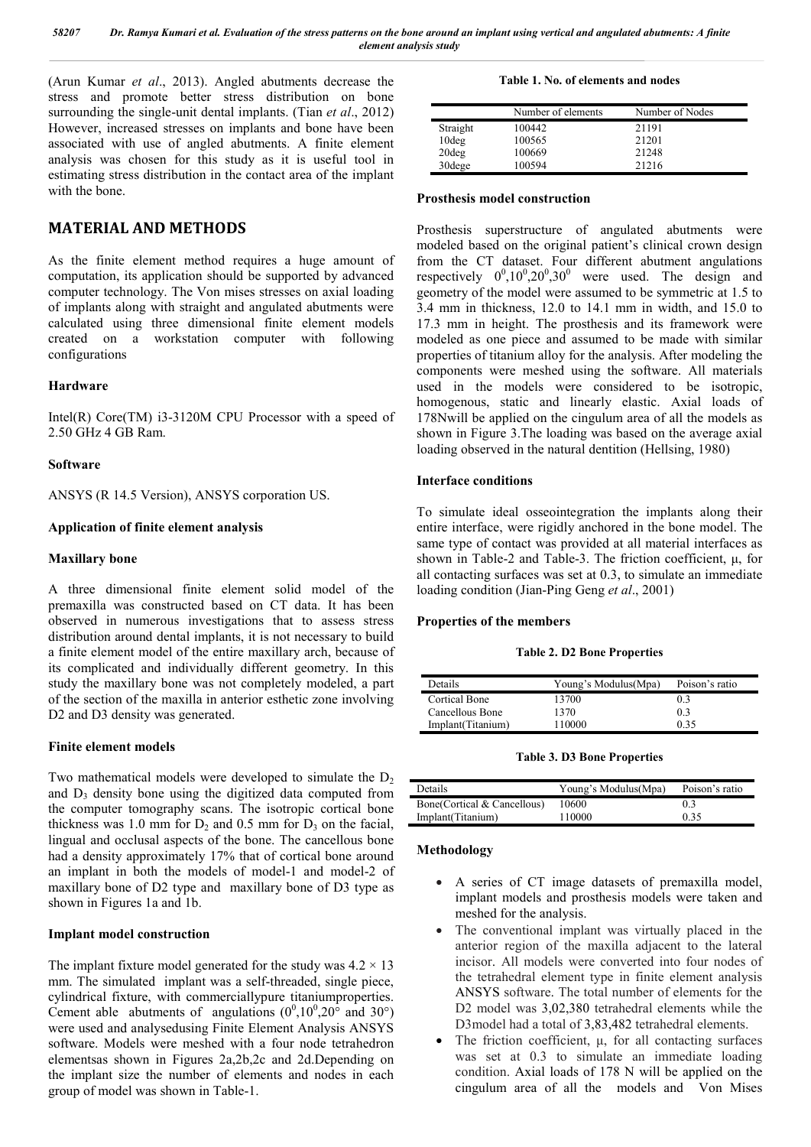*58207 Dr. Ramya Kumari et al. Evaluation of the stress patterns on the bone around an implant using vertical and angulated abutments: A finite element analysis study*

(Arun Kumar *et al*., 2013). Angled abutments decrease the stress and promote better stress distribution on bone surrounding the single-unit dental implants. (Tian *et al*., 2012) However, increased stresses on implants and bone have been associated with use of angled abutments. A finite element analysis was chosen for this study as it is useful tool in estimating stress distribution in the contact area of the implant with the bone.

## **MATERIAL AND METHODS**

As the finite element method requires a huge amount of computation, its application should be supported by advanced computer technology. The Von mises stresses on axial loading of implants along with straight and angulated abutments were calculated using three dimensional finite element models created on a workstation computer with following configurations

## **Hardware**

Intel(R) Core(TM) i3-3120M CPU Processor with a speed of 2.50 GHz 4 GB Ram.

### **Software**

ANSYS (R 14.5 Version), ANSYS corporation US.

## **Application of finite element analysis**

## **Maxillary bone**

A three dimensional finite element solid model of the premaxilla was constructed based on CT data. It has been observed in numerous investigations that to assess stress distribution around dental implants, it is not necessary to build a finite element model of the entire maxillary arch, because of its complicated and individually different geometry. In this study the maxillary bone was not completely modeled, a part of the section of the maxilla in anterior esthetic zone involving D<sub>2</sub> and D<sub>3</sub> density was generated.

## **Finite element models**

Two mathematical models were developed to simulate the  $D_2$ and  $D_3$  density bone using the digitized data computed from the computer tomography scans. The isotropic cortical bone thickness was 1.0 mm for  $D_2$  and 0.5 mm for  $D_3$  on the facial, lingual and occlusal aspects of the bone. The cancellous bone had a density approximately 17% that of cortical bone around an implant in both the models of model-1 and model-2 of maxillary bone of D2 type and maxillary bone of D3 type as shown in Figures 1a and 1b.

## **Implant model construction**

The implant fixture model generated for the study was  $4.2 \times 13$ mm. The simulated implant was a self-threaded, single piece, cylindrical fixture, with commerciallypure titaniumproperties. Cement able abutments of angulations  $(0^0, 10^0, 20^{\circ}$  and  $30^{\circ})$ were used and analysedusing Finite Element Analysis ANSYS software. Models were meshed with a four node tetrahedron elementsas shown in Figures 2a,2b,2c and 2d.Depending on the implant size the number of elements and nodes in each group of model was shown in Table-1.

**Table 1. No. of elements and nodes**

|          | Number of elements | Number of Nodes |
|----------|--------------------|-----------------|
| Straight | 100442             | 21191           |
| $10$ deg | 100565             | 21201           |
| $20$ deg | 100669             | 21248           |
| 30dege   | 100594             | 21216           |

#### **Prosthesis model construction**

Prosthesis superstructure of angulated abutments were modeled based on the original patient's clinical crown design from the CT dataset. Four different abutment angulations respectively  $0^0, 10^0, 20^0, 30^0$  were used. The design and geometry of the model were assumed to be symmetric at 1.5 to 3.4 mm in thickness, 12.0 to 14.1 mm in width, and 15.0 to 17.3 mm in height. The prosthesis and its framework were modeled as one piece and assumed to be made with similar properties of titanium alloy for the analysis. After modeling the components were meshed using the software. All materials used in the models were considered to be isotropic, homogenous, static and linearly elastic. Axial loads of 178Nwill be applied on the cingulum area of all the models as shown in Figure 3.The loading was based on the average axial loading observed in the natural dentition (Hellsing, 1980)

#### **Interface conditions**

To simulate ideal osseointegration the implants along their entire interface, were rigidly anchored in the bone model. The same type of contact was provided at all material interfaces as shown in Table-2 and Table-3. The friction coefficient, μ, for all contacting surfaces was set at 0.3, to simulate an immediate loading condition (Jian-Ping Geng *et al*., 2001)

#### **Properties of the members**

#### **Table 2. D2 Bone Properties**

| Details           | Young's Modulus(Mpa) | Poison's ratio |
|-------------------|----------------------|----------------|
| Cortical Bone     | 13700                | 03             |
| Cancellous Bone   | 1370                 | 0.3            |
| Implant(Titanium) | 110000               | 0.35           |

#### **Table 3. D3 Bone Properties**

| Details.                    | Young's Modulus (Mpa) | Poison's ratio |
|-----------------------------|-----------------------|----------------|
| Bone(Cortical & Cancellous) | 10600                 | 0.3            |
| Implant(Titanium)           | 110000                | 0.35           |

### **Methodology**

- A series of CT image datasets of premaxilla model, implant models and prosthesis models were taken and meshed for the analysis.
- The conventional implant was virtually placed in the anterior region of the maxilla adjacent to the lateral incisor. All models were converted into four nodes of the tetrahedral element type in finite element analysis ANSYS software. The total number of elements for the D2 model was 3,02,380 tetrahedral elements while the D3model had a total of 3,83,482 tetrahedral elements.
- The friction coefficient, μ, for all contacting surfaces was set at 0.3 to simulate an immediate loading condition. Axial loads of 178 N will be applied on the cingulum area of all the models and Von Mises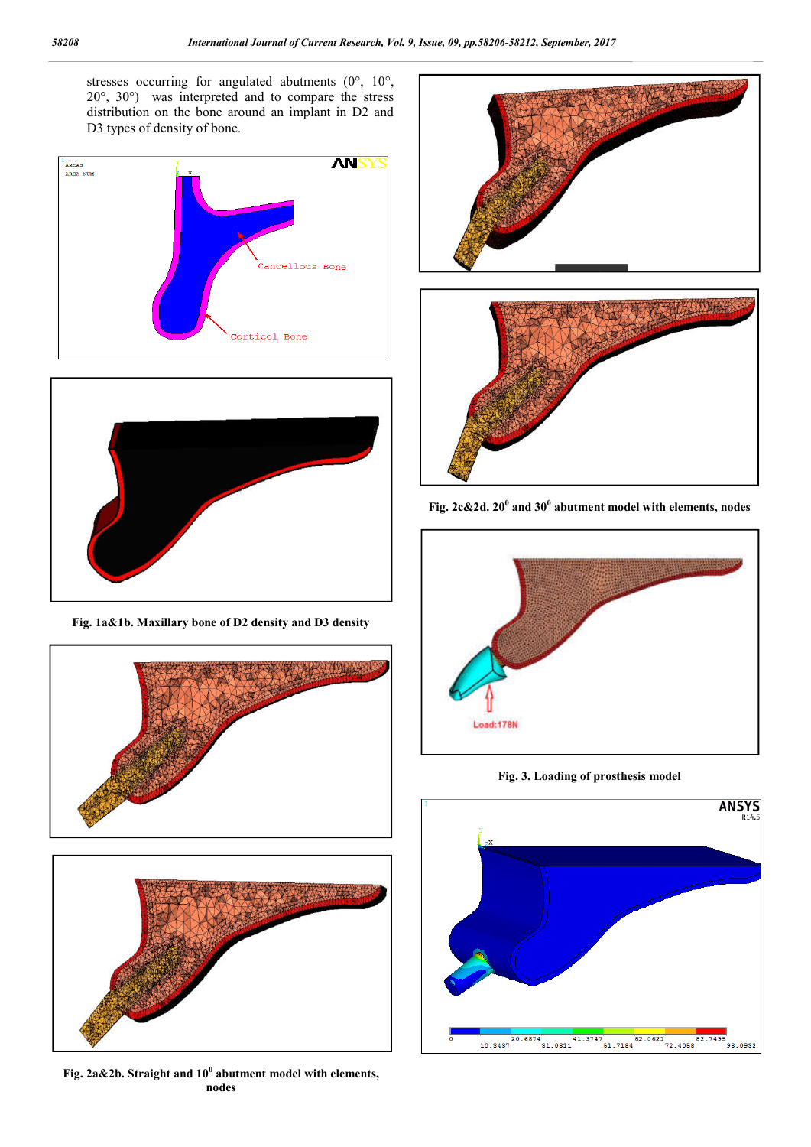stresses occurring for angulated abutments (0°, 10°, 20°, 30°) was interpreted and to compare the stress distribution on the bone around an implant in D2 and D3 types of density of bone.





**Fig. 1a&1b. Maxillary bone of D2 density and D3 density**



**Fig. 2a&2b. Straight and 10<sup>0</sup> abutment model with elements, nodes**



**Fig. 2c&2d. 20<sup>0</sup> and 30<sup>0</sup> abutment model with elements, nodes**



**Fig. 3. Loading of prosthesis model**

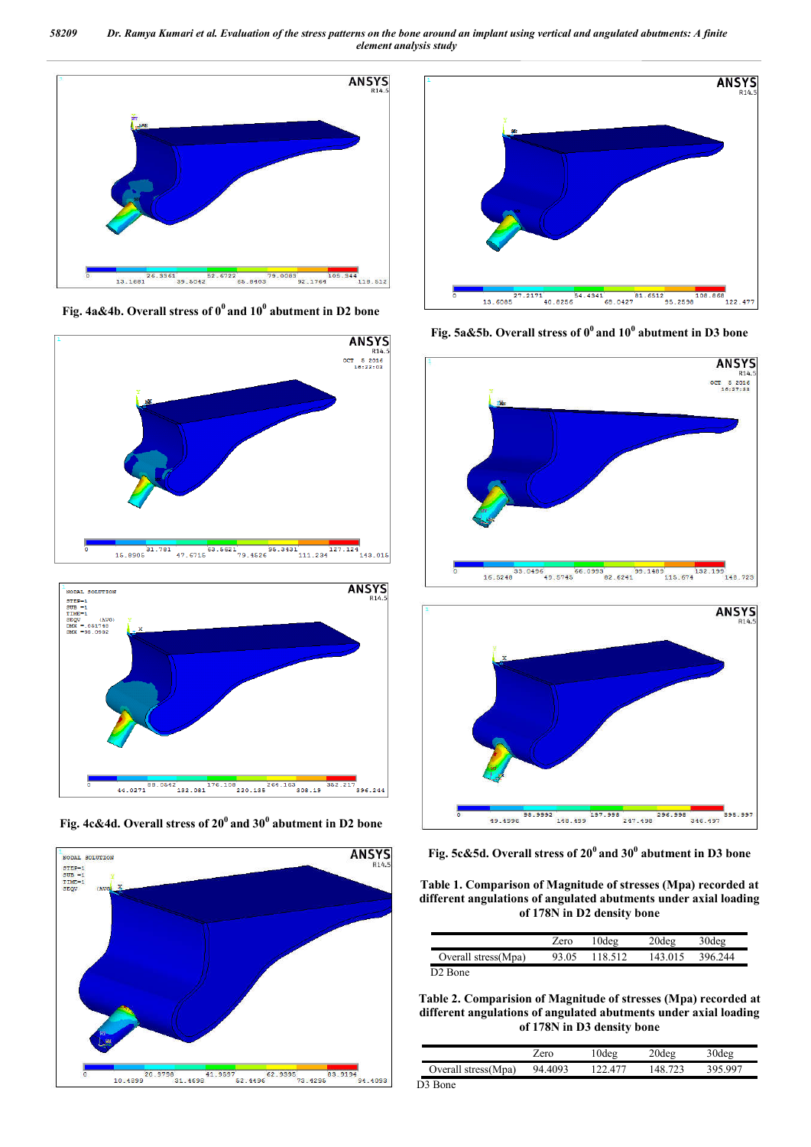*58209 Dr. Ramya Kumari et al. Evaluation of the stress patterns on the bone around an implant using vertical and angulated abutments: A finite element analysis study*



**Fig. 4a&4b. Overall stress of 00 and 100 abutment in D2 bone**





**Fig. 4c&4d. Overall stress of 200 and 300 abutment in D2 bone**





**Fig. 5a&5b. Overall stress of 00 and 100 abutment in D3 bone**



**Fig. 5c&5d. Overall stress of 200 and 300 abutment in D3 bone**

**Table 1. Comparison of Magnitude of stresses (Mpa) recorded at different angulations of angulated abutments under axial loading of 178N in D2 density bone**

|                     | Zero  | '0deg   | 20deg   | 30deg   |
|---------------------|-------|---------|---------|---------|
| Overall stress(Mpa) | 93.05 | 118.512 | 143 015 | 396.244 |

**Table 2. Comparision of Magnitude of stresses (Mpa) recorded at different angulations of angulated abutments under axial loading of 178N in D3 density bone**

|                               | ero.    | deg) | '0deg           | 30deo |
|-------------------------------|---------|------|-----------------|-------|
| Overall stress (Mpa)          | 94.4093 | 2477 | 48 <sup>-</sup> | , 997 |
| $\mathbf{D} \cdot \mathbf{D}$ |         |      |                 |       |

D3 Bone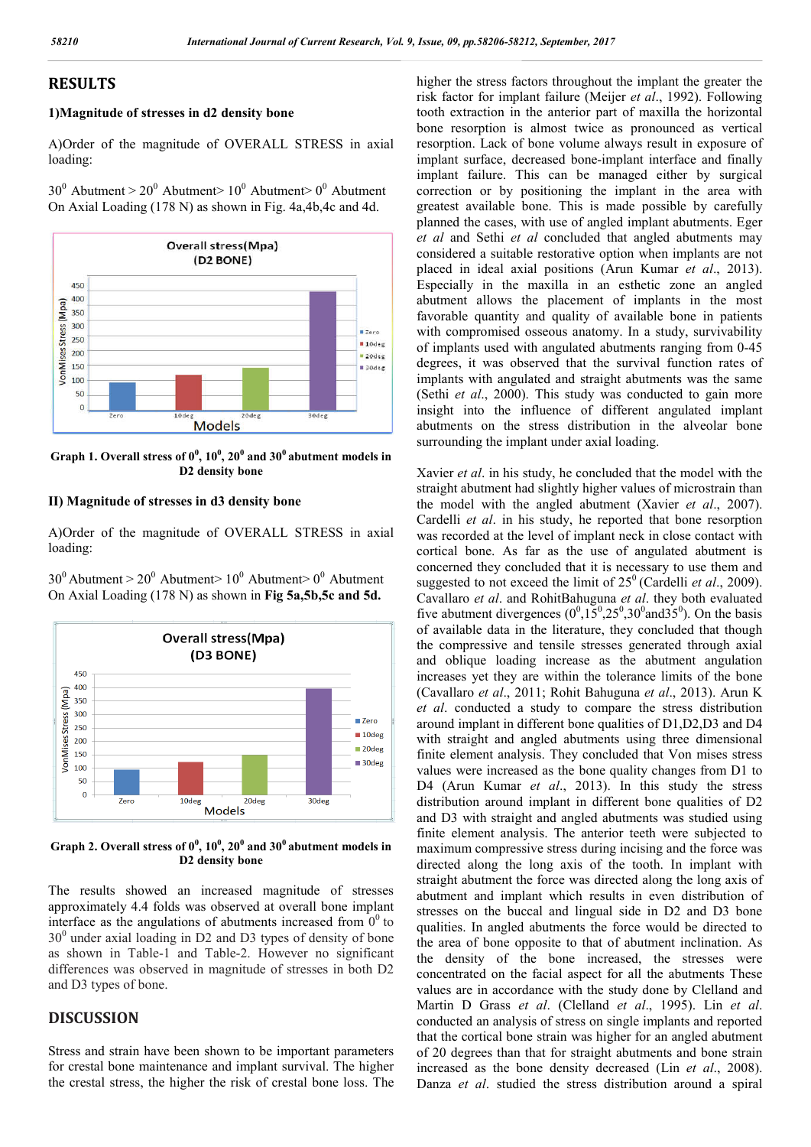## **RESULTS**

## **1)Magnitude of stresses in d2 density bone**

A)Order of the magnitude of OVERALL STRESS in axial loading:

 $30^0$  Abutment >  $20^0$  Abutment >  $10^0$  Abutment >  $0^0$  Abutment On Axial Loading (178 N) as shown in Fig. 4a,4b,4c and 4d.



Graph 1. Overall stress of  $0^0$ ,  $10^0$ ,  $20^0$  and  $30^0$  abutment models in **D2 density bone**

## **II) Magnitude of stresses in d3 density bone**

A)Order of the magnitude of OVERALL STRESS in axial loading:

 $30^0$  Abutment >  $20^0$  Abutment >  $10^0$  Abutment  $\geq 0^0$  Abutment On Axial Loading (178 N) as shown in **Fig 5a,5b,5c and 5d.**



Graph 2. Overall stress of  $0^0$ ,  $10^0$ ,  $20^0$  and  $30^0$  abutment models in **D2 density bone**

The results showed an increased magnitude of stresses approximately 4.4 folds was observed at overall bone implant interface as the angulations of abutments increased from  $0^0$  to  $30<sup>0</sup>$  under axial loading in D2 and D3 types of density of bone as shown in Table-1 and Table-2. However no significant differences was observed in magnitude of stresses in both D2 and D3 types of bone.

## **DISCUSSION**

Stress and strain have been shown to be important parameters for crestal bone maintenance and implant survival. The higher the crestal stress, the higher the risk of crestal bone loss. The higher the stress factors throughout the implant the greater the risk factor for implant failure (Meijer *et al*., 1992). Following tooth extraction in the anterior part of maxilla the horizontal bone resorption is almost twice as pronounced as vertical resorption. Lack of bone volume always result in exposure of implant surface, decreased bone-implant interface and finally implant failure. This can be managed either by surgical correction or by positioning the implant in the area with greatest available bone. This is made possible by carefully planned the cases, with use of angled implant abutments. Eger *et al* and Sethi *et al* concluded that angled abutments may considered a suitable restorative option when implants are not placed in ideal axial positions (Arun Kumar *et al*., 2013). Especially in the maxilla in an esthetic zone an angled abutment allows the placement of implants in the most favorable quantity and quality of available bone in patients with compromised osseous anatomy. In a study, survivability of implants used with angulated abutments ranging from 0-45 degrees, it was observed that the survival function rates of implants with angulated and straight abutments was the same (Sethi *et al*., 2000). This study was conducted to gain more insight into the influence of different angulated implant abutments on the stress distribution in the alveolar bone surrounding the implant under axial loading.

Xavier *et al*. in his study, he concluded that the model with the straight abutment had slightly higher values of microstrain than the model with the angled abutment (Xavier *et al*., 2007). Cardelli *et al*. in his study, he reported that bone resorption was recorded at the level of implant neck in close contact with cortical bone. As far as the use of angulated abutment is concerned they concluded that it is necessary to use them and suggested to not exceed the limit of  $25^{\circ}$  (Cardelli *et al.*, 2009). Cavallaro *et al*. and RohitBahuguna *et al*. they both evaluated five abutment divergences  $(0^0, 15^0, 25^0, 30^0$  and  $35^0)$ . On the basis of available data in the literature, they concluded that though the compressive and tensile stresses generated through axial and oblique loading increase as the abutment angulation increases yet they are within the tolerance limits of the bone (Cavallaro *et al*., 2011; Rohit Bahuguna *et al*., 2013). Arun K *et al*. conducted a study to compare the stress distribution around implant in different bone qualities of D1,D2,D3 and D4 with straight and angled abutments using three dimensional finite element analysis. They concluded that Von mises stress values were increased as the bone quality changes from D1 to D4 (Arun Kumar *et al*., 2013). In this study the stress distribution around implant in different bone qualities of D2 and D3 with straight and angled abutments was studied using finite element analysis. The anterior teeth were subjected to maximum compressive stress during incising and the force was directed along the long axis of the tooth. In implant with straight abutment the force was directed along the long axis of abutment and implant which results in even distribution of stresses on the buccal and lingual side in D2 and D3 bone qualities. In angled abutments the force would be directed to the area of bone opposite to that of abutment inclination. As the density of the bone increased, the stresses were concentrated on the facial aspect for all the abutments These values are in accordance with the study done by Clelland and Martin D Grass *et al*. (Clelland *et al*., 1995). Lin *et al*. conducted an analysis of stress on single implants and reported that the cortical bone strain was higher for an angled abutment of 20 degrees than that for straight abutments and bone strain increased as the bone density decreased (Lin *et al*., 2008). Danza *et al*. studied the stress distribution around a spiral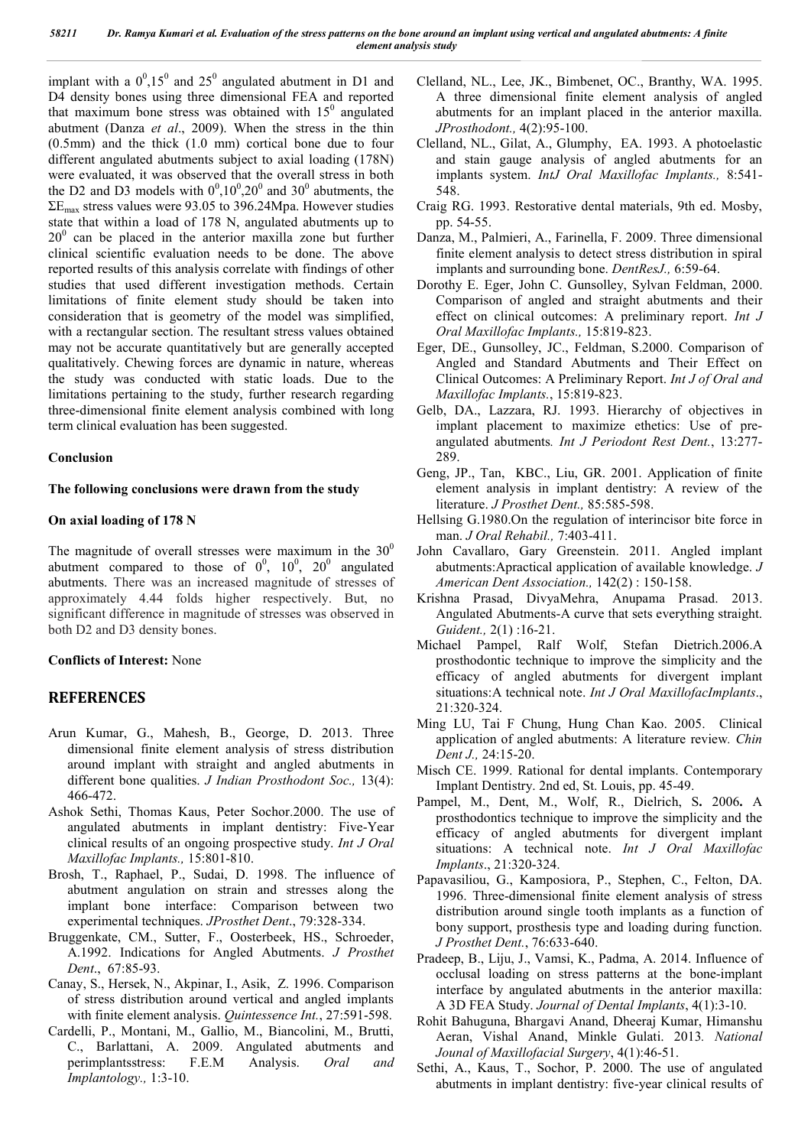implant with a  $0^0$ , 15<sup>0</sup> and 25<sup>0</sup> angulated abutment in D1 and D4 density bones using three dimensional FEA and reported that maximum bone stress was obtained with  $15<sup>0</sup>$  angulated abutment (Danza *et al*., 2009). When the stress in the thin (0.5mm) and the thick (1.0 mm) cortical bone due to four different angulated abutments subject to axial loading (178N) were evaluated, it was observed that the overall stress in both the D2 and D3 models with  $0^0, 10^0, 20^0$  and  $30^0$  abutments, the  $\Sigma$ E<sub>max</sub> stress values were 93.05 to 396.24Mpa. However studies state that within a load of 178 N, angulated abutments up to  $20<sup>0</sup>$  can be placed in the anterior maxilla zone but further clinical scientific evaluation needs to be done. The above reported results of this analysis correlate with findings of other studies that used different investigation methods. Certain limitations of finite element study should be taken into consideration that is geometry of the model was simplified, with a rectangular section. The resultant stress values obtained may not be accurate quantitatively but are generally accepted qualitatively. Chewing forces are dynamic in nature, whereas the study was conducted with static loads. Due to the limitations pertaining to the study, further research regarding three-dimensional finite element analysis combined with long term clinical evaluation has been suggested.

## **Conclusion**

## **The following conclusions were drawn from the study**

## **On axial loading of 178 N**

The magnitude of overall stresses were maximum in the  $30^0$ abutment compared to those of  $0^0$ ,  $10^0$ ,  $20^0$  angulated abutments. There was an increased magnitude of stresses of approximately 4.44 folds higher respectively. But, no significant difference in magnitude of stresses was observed in both D2 and D3 density bones.

## **Conflicts of Interest:** None

## **REFERENCES**

- Arun Kumar, G., Mahesh, B., George, D. 2013. Three dimensional finite element analysis of stress distribution around implant with straight and angled abutments in different bone qualities. *J Indian Prosthodont Soc.,* 13(4): 466-472.
- Ashok Sethi, Thomas Kaus, Peter Sochor.2000. The use of angulated abutments in implant dentistry: Five-Year clinical results of an ongoing prospective study. *Int J Oral Maxillofac Implants.,* 15:801-810.
- Brosh, T., Raphael, P., Sudai, D. 1998. The influence of abutment angulation on strain and stresses along the implant bone interface: Comparison between two experimental techniques. *JProsthet Dent*., 79:328-334.
- Bruggenkate, CM., Sutter, F., Oosterbeek, HS., Schroeder, A.1992. Indications for Angled Abutments. *J Prosthet Dent*., 67:85-93.
- Canay, S., Hersek, N., Akpinar, I., Asik, Z. 1996. Comparison of stress distribution around vertical and angled implants with finite element analysis. *Quintessence Int.*, 27:591-598.
- Cardelli, P., Montani, M., Gallio, M., Biancolini, M., Brutti, C., Barlattani, A. 2009. Angulated abutments and perimplantsstress: F.E.M Analysis. *Oral and Implantology.,* 1:3-10.
- Clelland, NL., Lee, JK., Bimbenet, OC., Branthy, WA. 1995. A three dimensional finite element analysis of angled abutments for an implant placed in the anterior maxilla. *JProsthodont.,* 4(2):95-100.
- Clelland, NL., Gilat, A., Glumphy, EA. 1993. A photoelastic and stain gauge analysis of angled abutments for an implants system. *IntJ Oral Maxillofac Implants.,* 8:541- 548.
- Craig RG. 1993. Restorative dental materials, 9th ed. Mosby, pp. 54-55.
- Danza, M., Palmieri, A., Farinella, F. 2009. Three dimensional finite element analysis to detect stress distribution in spiral implants and surrounding bone. *DentResJ.,* 6:59-64.
- Dorothy E. Eger, John C. Gunsolley, Sylvan Feldman, 2000. Comparison of angled and straight abutments and their effect on clinical outcomes: A preliminary report. *Int J Oral Maxillofac Implants.,* 15:819-823.
- Eger, DE., Gunsolley, JC., Feldman, S.2000. Comparison of Angled and Standard Abutments and Their Effect on Clinical Outcomes: A Preliminary Report. *Int J of Oral and Maxillofac Implants.*, 15:819-823.
- Gelb, DA., Lazzara, RJ. 1993. Hierarchy of objectives in implant placement to maximize ethetics: Use of preangulated abutments*. Int J Periodont Rest Dent.*, 13:277- 289.
- Geng, JP., Tan, KBC., Liu, GR. 2001. Application of finite element analysis in implant dentistry: A review of the literature. *J Prosthet Dent.,* 85:585-598.
- Hellsing G.1980.On the regulation of interincisor bite force in man. *J Oral Rehabil.,* 7:403-411.
- John Cavallaro, Gary Greenstein. 2011. Angled implant abutments:Apractical application of available knowledge. *J American Dent Association.,* 142(2) : 150-158.
- Krishna Prasad, DivyaMehra, Anupama Prasad. 2013. Angulated Abutments-A curve that sets everything straight. *Guident.,* 2(1) :16-21.
- Michael Pampel, Ralf Wolf, Stefan Dietrich.2006.A prosthodontic technique to improve the simplicity and the efficacy of angled abutments for divergent implant situations:A technical note. *Int J Oral MaxillofacImplants*., 21:320-324.
- Ming LU, Tai F Chung, Hung Chan Kao. 2005. Clinical application of angled abutments: A literature review*. Chin Dent J.,* 24:15-20.
- Misch CE. 1999. Rational for dental implants. Contemporary Implant Dentistry. 2nd ed, St. Louis, pp. 45-49.
- Pampel, M., Dent, M., Wolf, R., Dielrich, S**.** 2006**.** A prosthodontics technique to improve the simplicity and the efficacy of angled abutments for divergent implant situations: A technical note. *Int J Oral Maxillofac Implants*., 21:320-324.
- Papavasiliou, G., Kamposiora, P., Stephen, C., Felton, DA. 1996. Three-dimensional finite element analysis of stress distribution around single tooth implants as a function of bony support, prosthesis type and loading during function. *J Prosthet Dent.*, 76:633-640.
- Pradeep, B., Liju, J., Vamsi, K., Padma, A. 2014. Influence of occlusal loading on stress patterns at the bone-implant interface by angulated abutments in the anterior maxilla: A 3D FEA Study. *Journal of Dental Implants*, 4(1):3-10.
- Rohit Bahuguna, Bhargavi Anand, Dheeraj Kumar, Himanshu Aeran, Vishal Anand, Minkle Gulati. 2013*. National Jounal of Maxillofacial Surgery*, 4(1):46-51.
- Sethi, A., Kaus, T., Sochor, P. 2000. The use of angulated abutments in implant dentistry: five-year clinical results of